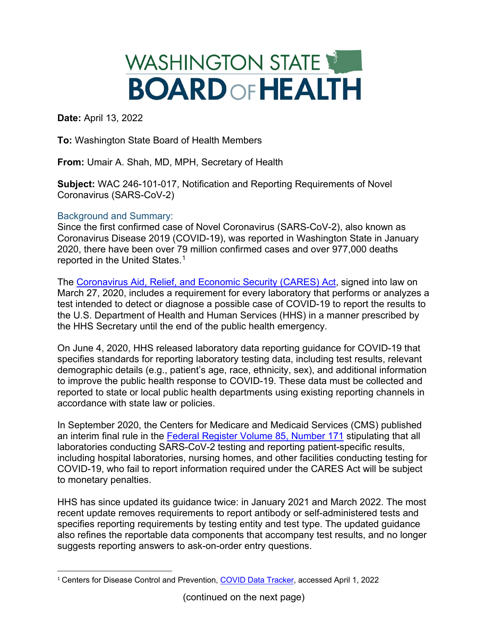## WASHINGTON STATE **BOARD OF HEALTH**

**Date:** April 13, 2022

**To:** Washington State Board of Health Members

**From:** Umair A. Shah, MD, MPH, Secretary of Health

**Subject:** WAC 246-101-017, Notification and Reporting Requirements of Novel Coronavirus (SARS-CoV-2)

## Background and Summary:

Since the first confirmed case of Novel Coronavirus (SARS-CoV-2), also known as Coronavirus Disease 2019 (COVID-19), was reported in Washington State in January 2020, there have been over 79 million confirmed cases and over 977,000 deaths reported in the United States.<sup>[1](#page-0-0)</sup>

The [Coronavirus Aid, Relief, and Economic Security \(CARES\) Act,](https://www.congress.gov/bill/116th-congress/house-bill/748) signed into law on March 27, 2020, includes a requirement for every laboratory that performs or analyzes a test intended to detect or diagnose a possible case of COVID-19 to report the results to the U.S. Department of Health and Human Services (HHS) in a manner prescribed by the HHS Secretary until the end of the public health emergency.

On June 4, 2020, HHS released laboratory data reporting guidance for COVID-19 that specifies standards for reporting laboratory testing data, including test results, relevant demographic details (e.g., patient's age, race, ethnicity, sex), and additional information to improve the public health response to COVID-19. These data must be collected and reported to state or local public health departments using existing reporting channels in accordance with state law or policies.

In September 2020, the Centers for Medicare and Medicaid Services (CMS) published an interim final rule in the [Federal Register Volume 85, Number 171](https://www.govinfo.gov/content/pkg/FR-2020-09-02/pdf/2020-19150.pdf) stipulating that all laboratories conducting SARS-CoV-2 testing and reporting patient-specific results, including hospital laboratories, nursing homes, and other facilities conducting testing for COVID-19, who fail to report information required under the CARES Act will be subject to monetary penalties.

HHS has since updated its guidance twice: in January 2021 and March 2022. The most recent update removes requirements to report antibody or self-administered tests and specifies reporting requirements by testing entity and test type. The updated guidance also refines the reportable data components that accompany test results, and no longer suggests reporting answers to ask-on-order entry questions.

<span id="page-0-0"></span><sup>&</sup>lt;sup>1</sup> Centers for Disease Control and Prevention, [COVID Data Tracker,](https://covid.cdc.gov/covid-data-tracker/#cases_casesinlast7days) accessed April 1, 2022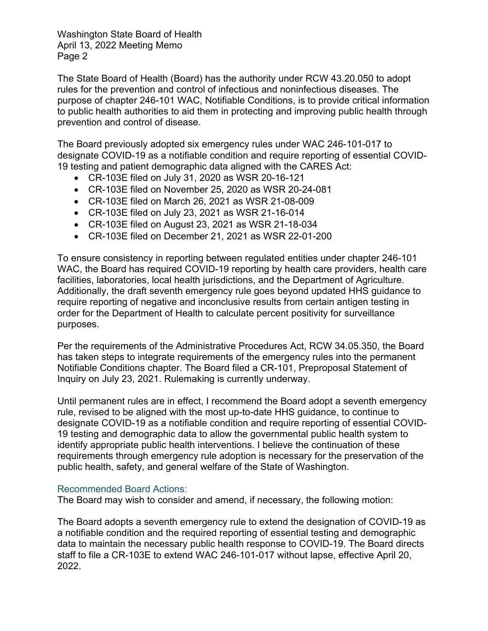Washington State Board of Health April 13, 2022 Meeting Memo Page 2

The State Board of Health (Board) has the authority under RCW 43.20.050 to adopt rules for the prevention and control of infectious and noninfectious diseases. The purpose of chapter 246-101 WAC, Notifiable Conditions, is to provide critical information to public health authorities to aid them in protecting and improving public health through prevention and control of disease.

The Board previously adopted six emergency rules under WAC 246-101-017 to designate COVID-19 as a notifiable condition and require reporting of essential COVID-19 testing and patient demographic data aligned with the CARES Act:

- CR-103E filed on July 31, 2020 as WSR 20-16-121
- CR-103E filed on November 25, 2020 as WSR 20-24-081
- CR-103E filed on March 26, 2021 as WSR 21-08-009
- CR-103E filed on July 23, 2021 as WSR 21-16-014
- CR-103E filed on August 23, 2021 as WSR 21-18-034
- CR-103E filed on December 21, 2021 as WSR 22-01-200

To ensure consistency in reporting between regulated entities under chapter 246-101 WAC, the Board has required COVID-19 reporting by health care providers, health care facilities, laboratories, local health jurisdictions, and the Department of Agriculture. Additionally, the draft seventh emergency rule goes beyond updated HHS guidance to require reporting of negative and inconclusive results from certain antigen testing in order for the Department of Health to calculate percent positivity for surveillance purposes.

Per the requirements of the Administrative Procedures Act, RCW 34.05.350, the Board has taken steps to integrate requirements of the emergency rules into the permanent Notifiable Conditions chapter. The Board filed a CR-101, Preproposal Statement of Inquiry on July 23, 2021. Rulemaking is currently underway.

Until permanent rules are in effect, I recommend the Board adopt a seventh emergency rule, revised to be aligned with the most up-to-date HHS guidance, to continue to designate COVID-19 as a notifiable condition and require reporting of essential COVID-19 testing and demographic data to allow the governmental public health system to identify appropriate public health interventions. I believe the continuation of these requirements through emergency rule adoption is necessary for the preservation of the public health, safety, and general welfare of the State of Washington.

## Recommended Board Actions:

The Board may wish to consider and amend, if necessary, the following motion:

The Board adopts a seventh emergency rule to extend the designation of COVID-19 as a notifiable condition and the required reporting of essential testing and demographic data to maintain the necessary public health response to COVID-19. The Board directs staff to file a CR-103E to extend WAC 246-101-017 without lapse, effective April 20, 2022.